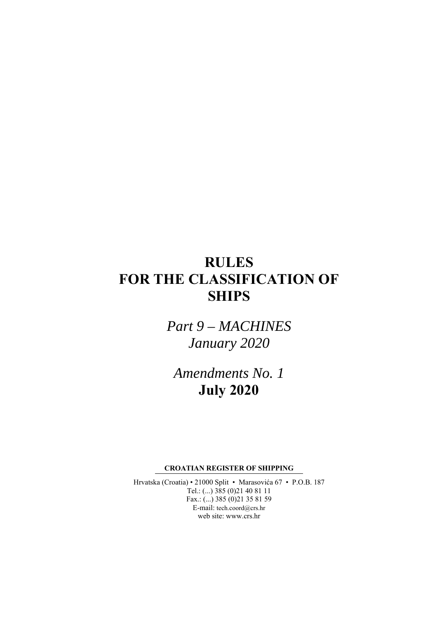# **RULES FOR THE CLASSIFICATION OF SHIPS**

*Part 9 – MACHINES January 2020* 

*Amendments No. 1*  **July 2020** 

**CROATIAN REGISTER OF SHIPPING** 

Hrvatska (Croatia) • 21000 Split • Marasovića 67 • P.O.B. 187 Tel.: (...) 385 (0)21 40 81 11 Fax.: (...) 385 (0)21 35 81 59 E-mail: tech.coord@crs.hr web site: www.crs.hr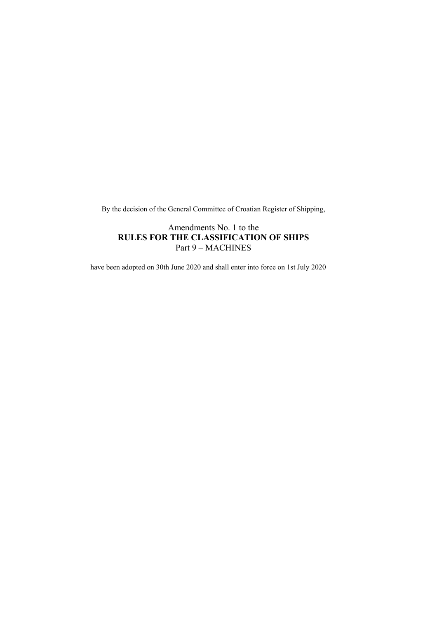By the decision of the General Committee of Croatian Register of Shipping,

Amendments No. 1 to the **RULES FOR THE CLASSIFICATION OF SHIPS**  Part 9 – MACHINES

have been adopted on 30th June 2020 and shall enter into force on 1st July 2020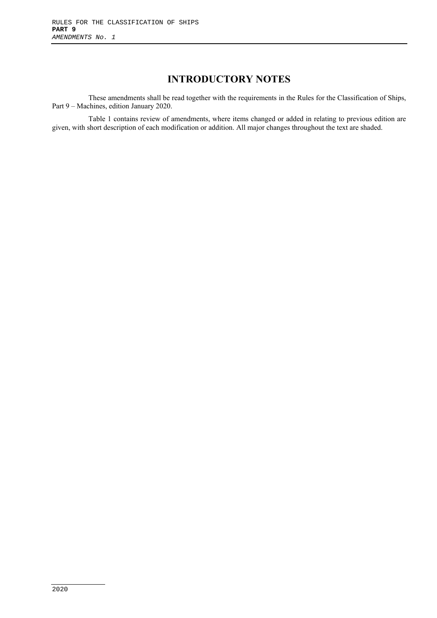# **INTRODUCTORY NOTES**

These amendments shall be read together with the requirements in the Rules for the Classification of Ships, Part 9 – Machines, edition January 2020.

Table 1 contains review of amendments, where items changed or added in relating to previous edition are given, with short description of each modification or addition. All major changes throughout the text are shaded.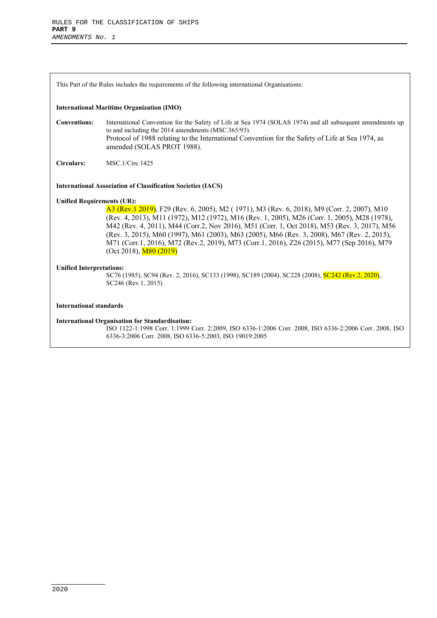This Part of the Rules includes the requirements of the following international Organisations:

#### **International Maritime Organization (IMO)**

**Conventions:** International Convention for the Safety of Life at Sea 1974 (SOLAS 1974) and all subsequent amendments up to and including the 2014 amendments (MSC.365/93). Protocol of 1988 relating to the International Convention for the Safety of Life at Sea 1974, as amended (SOLAS PROT 1988).

**Circulars:** MSC.1/Circ.1425

#### **International Association of Classification Societies (IACS)**

#### **Unified Requirements (UR):**

A3 (Rev.1 2019), F29 (Rev. 6, 2005), M2 ( 1971), M3 (Rev. 6, 2018), M9 (Corr. 2, 2007), M10 (Rev. 4, 2013), M11 (1972), M12 (1972), M16 (Rev. 1, 2005), M26 (Corr. 1, 2005), M28 (1978), M42 (Rev. 4, 2011), M44 (Corr.2, Nov 2016), M51 (Corr. 1, Oct 2018), M53 (Rev. 3, 2017), M56 (Rev. 3, 2015), M60 (1997), M61 (2003), M63 (2005), M66 (Rev. 3, 2008), M67 (Rev. 2, 2015), M71 (Corr.1, 2016), M72 (Rev.2, 2019), M73 (Corr.1, 2016), Z26 (2015), M77 (Sep 2016), M79  $(Oct 2018), M80 (2019)$ 

#### **Unified Interpretations:**

SC76 (1985), SC94 (Rev. 2, 2016), SC133 (1998), SC189 (2004), SC228 (2008), SC242 (Rev.2, 2020), SC246 (Rev.1, 2015)

#### **International standards**

#### **International Organisation for Standardisation:**

ISO 1122-1:1998 Corr. 1:1999 Corr. 2:2009, ISO 6336-1:2006 Corr. 2008, ISO 6336-2:2006 Corr. 2008, ISO 6336-3:2006 Corr. 2008, ISO 6336-5:2003, ISO 19019:2005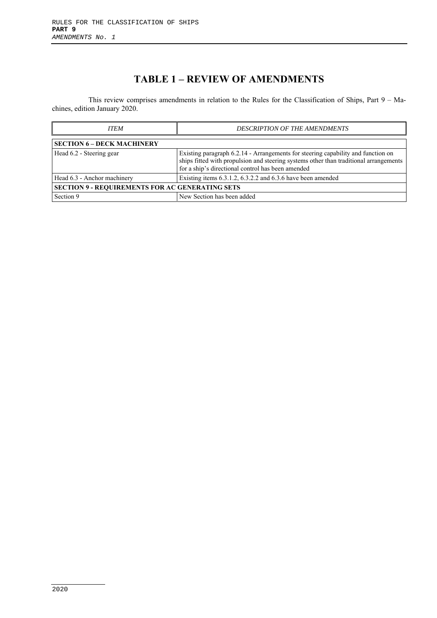# **TABLE 1 – REVIEW OF AMENDMENTS**

This review comprises amendments in relation to the Rules for the Classification of Ships, Part 9 – Machines, edition January 2020.

| <b>ITEM</b>                                            | <b>DESCRIPTION OF THE AMENDMENTS</b>                                                                                                                                                                                           |  |  |
|--------------------------------------------------------|--------------------------------------------------------------------------------------------------------------------------------------------------------------------------------------------------------------------------------|--|--|
| <b>SECTION 6 – DECK MACHINERY</b>                      |                                                                                                                                                                                                                                |  |  |
| Head 6.2 - Steering gear                               | Existing paragraph 6.2.14 - Arrangements for steering capability and function on<br>ships fitted with propulsion and steering systems other than traditional arrangements<br>for a ship's directional control has been amended |  |  |
| Head 6.3 - Anchor machinery                            | Existing items 6.3.1.2, 6.3.2.2 and 6.3.6 have been amended                                                                                                                                                                    |  |  |
| <b>SECTION 9 - REQUIREMENTS FOR AC GENERATING SETS</b> |                                                                                                                                                                                                                                |  |  |
| Section 9                                              | New Section has been added                                                                                                                                                                                                     |  |  |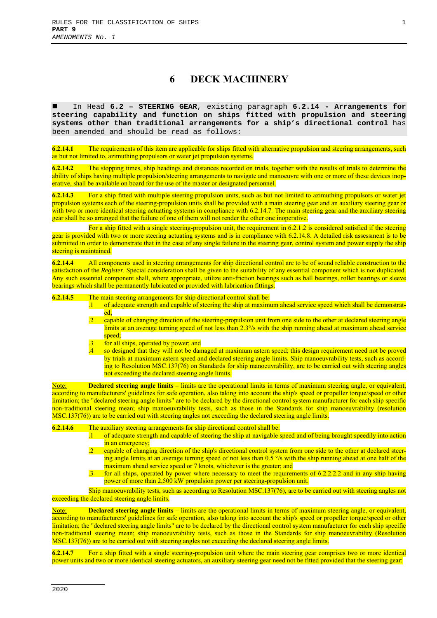### **6 DECK MACHINERY**

 In Head **6.2 – STEERING GEAR**, existing paragraph **6.2.14 - Arrangements for steering capability and function on ships fitted with propulsion and steering systems other than traditional arrangements for a ship's directional control** has been amended and should be read as follows:

**6.2.14.1** The requirements of this item are applicable for ships fitted with alternative propulsion and steering arrangements, such as but not limited to, azimuthing propulsors or water jet propulsion systems.

**6.2.14.2** The stopping times, ship headings and distances recorded on trials, together with the results of trials to determine the ability of ships having multiple propulsion/steering arrangements to navigate and manoeuvre with one or more of these devices inoperative, shall be available on board for the use of the master or designated personnel.

**6.2.14.3** For a ship fitted with multiple steering propulsion units, such as but not limited to azimuthing propulsors or water jet propulsion systems each of the steering-propulsion units shall be provided with a main steering gear and an auxiliary steering gear or with two or more identical steering actuating systems in compliance with 6.2.14.7. The main steering gear and the auxiliary steering gear shall be so arranged that the failure of one of them will not render the other one inoperative.

For a ship fitted with a single steering-propulsion unit, the requirement in 6.2.1.2 is considered satisfied if the steering gear is provided with two or more steering actuating systems and is in compliance with 6.2.14.8. A detailed risk assessment is to be submitted in order to demonstrate that in the case of any single failure in the steering gear, control system and power supply the ship steering is maintained.

**6.2.14.4** All components used in steering arrangements for ship directional control are to be of sound reliable construction to the satisfaction of the *Register*. Special consideration shall be given to the suitability of any essential component which is not duplicated. Any such essential component shall, where appropriate, utilize anti-friction bearings such as ball bearings, roller bearings or sleeve bearings which shall be permanently lubricated or provided with lubrication fittings.

- **6.2.14.5** The main steering arrangements for ship directional control shall be:<br>1 of adequate strength and capable of steering the ship at maximu. .1 of adequate strength and capable of steering the ship at maximum ahead service speed which shall be demonstrated;
	- capable of changing direction of the steering-propulsion unit from one side to the other at declared steering angle limits at an average turning speed of not less than 2.3°/s with the ship running ahead at maximum ahead service speed:
	- for all ships, operated by power; and
	- so designed that they will not be damaged at maximum astern speed; this design requirement need not be proved by trials at maximum astern speed and declared steering angle limits. Ship manoeuvrability tests, such as according to Resolution MSC.137(76) on Standards for ship manoeuvrability, are to be carried out with steering angles not exceeding the declared steering angle limits.

Note: **Declared steering angle limits** – limits are the operational limits in terms of maximum steering angle, or equivalent, according to manufacturers' guidelines for safe operation, also taking into account the ship's speed or propeller torque/speed or other limitation; the "declared steering angle limits" are to be declared by the directional control system manufacturer for each ship specific non-traditional steering mean; ship manoeuvrability tests, such as those in the Standards for ship manoeuvrability (resolution MSC.137(76)) are to be carried out with steering angles not exceeding the declared steering angle limits.

**6.2.14.6** The auxiliary steering arrangements for ship directional control shall be:

- .1 of adequate strength and capable of steering the ship at navigable speed and of being brought speedily into action in an emergency;
- .2 capable of changing direction of the ship's directional control system from one side to the other at declared steering angle limits at an average turning speed of not less than 0.5 % with the ship running ahead at one half of the maximum ahead service speed or 7 knots, whichever is the greater; and
- .3 for all ships, operated by power where necessary to meet the requirements of 6.2.2.2.2 and in any ship having power of more than 2,500 kW propulsion power per steering-propulsion unit.

Ship manoeuvrability tests, such as according to Resolution MSC.137(76), are to be carried out with steering angles not exceeding the declared steering angle limits.

Note: **Declared steering angle limits** – limits are the operational limits in terms of maximum steering angle, or equivalent, according to manufacturers' guidelines for safe operation, also taking into account the ship's speed or propeller torque/speed or other limitation; the "declared steering angle limits" are to be declared by the directional control system manufacturer for each ship specific non-traditional steering mean; ship manoeuvrability tests, such as those in the Standards for ship manoeuvrability (Resolution MSC.137(76)) are to be carried out with steering angles not exceeding the declared steering angle limits.

**6.2.14.7** For a ship fitted with a single steering-propulsion unit where the main steering gear comprises two or more identical power units and two or more identical steering actuators, an auxiliary steering gear need not be fitted provided that the steering gear: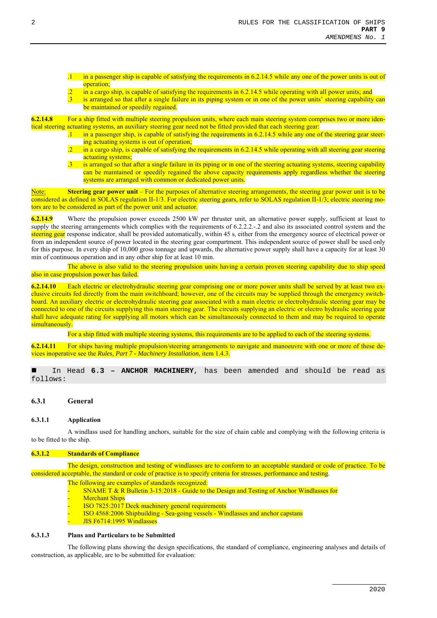in a passenger ship is capable of satisfying the requirements in 6.2.14.5 while any one of the power units is out of operation;

- in a cargo ship, is capable of satisfying the requirements in 6.2.14.5 while operating with all power units; and
- .3 is arranged so that after a single failure in its piping system or in one of the power units' steering capability can be maintained or speedily regained.

**6.2.14.8** For a ship fitted with multiple steering propulsion units, where each main steering system comprises two or more identical steering actuating systems, an auxiliary steering gear need not be fitted provided that each steering gear:

- .1 in a passenger ship, is capable of satisfying the requirements in 6.2.14.5 while any one of the steering gear steering actuating systems is out of operation;
	- in a cargo ship, is capable of satisfying the requirements in 6.2.14.5 while operating with all steering gear steering actuating systems;
	- is arranged so that after a single failure in its piping or in one of the steering actuating systems, steering capability can be maintained or speedily regained the above capacity requirements apply regardless whether the steering systems are arranged with common or dedicated power units.

Note: **Steering gear power unit** – For the purposes of alternative steering arrangements, the steering gear power unit is to be considered as defined in SOLAS regulation II-1/3. For electric steering gears, refer to SOLAS regulation II-1/3; electric steering motors are to be considered as part of the power unit and actuator.

**6.2.14.9** Where the propulsion power exceeds 2500 kW per thruster unit, an alternative power supply, sufficient at least to supply the steering arrangements which complies with the requirements of 6.2.2.2.-.2 and also its associated control system and the steering gear response indicator, shall be provided automatically, within 45 s, either from the emergency source of electrical power or from an independent source of power located in the steering gear compartment. This independent source of power shall be used only for this purpose. In every ship of 10,000 gross tonnage and upwards, the alternative power supply shall have a capacity for at least 30 min of continuous operation and in any other ship for at least 10 min.

The above is also valid to the steering propulsion units having a certain proven steering capability due to ship speed also in case propulsion power has failed.

**6.2.14.10** Each electric or electrohydraulic steering gear comprising one or more power units shall be served by at least two exclusive circuits fed directly from the main switchboard; however, one of the circuits may be supplied through the emergency switchboard. An auxiliary electric or electrohydraulic steering gear associated with a main electric or electrohydraulic steering gear may be connected to one of the circuits supplying this main steering gear. The circuits supplying an electric or electro hydraulic steering gear shall have adequate rating for supplying all motors which can be simultaneously connected to them and may be required to operate simultaneously.

For a ship fitted with multiple steering systems, this requirements are to be applied to each of the steering systems.

**6.2.14.11** For ships having multiple propulsion/steering arrangements to navigate and manoeuvre with one or more of these devices inoperative see the *Rules, Part 7 - Machinery Installation*, item 1.4.3.

 In Head **6.3 – ANCHOR MACHINERY**, has been amended and should be read as follows:

#### **6.3.1 General**

#### **6.3.1.1 Application**

A windlass used for handling anchors, suitable for the size of chain cable and complying with the following criteria is to be fitted to the ship.

#### **6.3.1.2 Standards of Compliance**

The design, construction and testing of windlasses are to conform to an acceptable standard or code of practice. To be considered acceptable, the standard or code of practice is to specify criteria for stresses, performance and testing.

The following are examples of standards recognized:

- SNAME T  $\&$  R Bulletin 3-15:2018 Guide to the Design and Testing of Anchor Windlasses for **Merchant Ships**
- ISO 7825:2017 Deck machinery general requirements
- ISO 4568:2006 Shipbuilding Sea-going vessels Windlasses and anchor capstans JIS F6714:1995 Windlasses

#### **6.3.1.3 Plans and Particulars to be Submitted**

The following plans showing the design specifications, the standard of compliance, engineering analyses and details of construction, as applicable, are to be submitted for evaluation: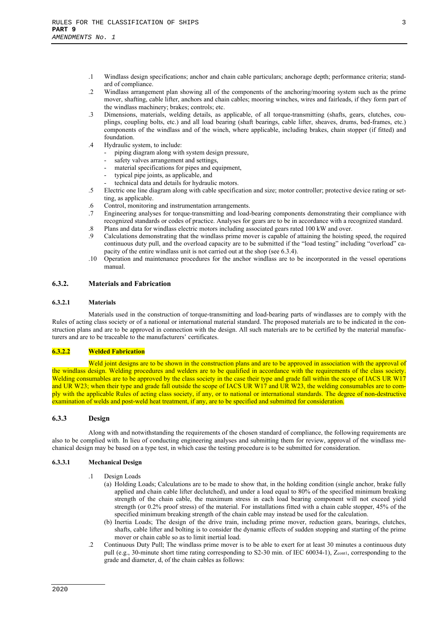- .1 Windlass design specifications; anchor and chain cable particulars; anchorage depth; performance criteria; standard of compliance.
- .2 Windlass arrangement plan showing all of the components of the anchoring/mooring system such as the prime mover, shafting, cable lifter, anchors and chain cables; mooring winches, wires and fairleads, if they form part of the windlass machinery; brakes; controls; etc.
- .3 Dimensions, materials, welding details, as applicable, of all torque-transmitting (shafts, gears, clutches, couplings, coupling bolts, etc.) and all load bearing (shaft bearings, cable lifter, sheaves, drums, bed-frames, etc.) components of the windlass and of the winch, where applicable, including brakes, chain stopper (if fitted) and foundation.
- .4 Hydraulic system, to include:
	- piping diagram along with system design pressure,
	- safety valves arrangement and settings,
	- material specifications for pipes and equipment,
	- typical pipe joints, as applicable, and
	- technical data and details for hydraulic motors.
- .5 Electric one line diagram along with cable specification and size; motor controller; protective device rating or setting, as applicable.
- .6 Control, monitoring and instrumentation arrangements.
- .7 Engineering analyses for torque-transmitting and load-bearing components demonstrating their compliance with recognized standards or codes of practice. Analyses for gears are to be in accordance with a recognized standard.
- .8 Plans and data for windlass electric motors including associated gears rated 100 kW and over.
- .9 Calculations demonstrating that the windlass prime mover is capable of attaining the hoisting speed, the required continuous duty pull, and the overload capacity are to be submitted if the "load testing" including "overload" capacity of the entire windlass unit is not carried out at the shop (see 6.3.4).
- .10 Operation and maintenance procedures for the anchor windlass are to be incorporated in the vessel operations manual.

#### **6.3.2. Materials and Fabrication**

#### **6.3.2.1 Materials**

Materials used in the construction of torque-transmitting and load-bearing parts of windlasses are to comply with the Rules of acting class society or of a national or international material standard. The proposed materials are to be indicated in the construction plans and are to be approved in connection with the design. All such materials are to be certified by the material manufacturers and are to be traceable to the manufacturers' certificates.

#### **6.3.2.2 Welded Fabrication**

Weld joint designs are to be shown in the construction plans and are to be approved in association with the approval of the windlass design. Welding procedures and welders are to be qualified in accordance with the requirements of the class society. Welding consumables are to be approved by the class society in the case their type and grade fall within the scope of IACS UR W17 and UR W23; when their type and grade fall outside the scope of IACS UR W17 and UR W23, the welding consumables are to comply with the applicable Rules of acting class society, if any, or to national or international standards. The degree of non-destructive examination of welds and post-weld heat treatment, if any, are to be specified and submitted for consideration.

#### **6.3.3 Design**

Along with and notwithstanding the requirements of the chosen standard of compliance, the following requirements are also to be complied with. In lieu of conducting engineering analyses and submitting them for review, approval of the windlass mechanical design may be based on a type test, in which case the testing procedure is to be submitted for consideration.

#### **6.3.3.1 Mechanical Design**

- .1 Design Loads
	- (a) Holding Loads; Calculations are to be made to show that, in the holding condition (single anchor, brake fully applied and chain cable lifter declutched), and under a load equal to 80% of the specified minimum breaking strength of the chain cable, the maximum stress in each load bearing component will not exceed yield strength (or 0.2% proof stress) of the material. For installations fitted with a chain cable stopper, 45% of the specified minimum breaking strength of the chain cable may instead be used for the calculation.
	- (b) Inertia Loads; The design of the drive train, including prime mover, reduction gears, bearings, clutches, shafts, cable lifter and bolting is to consider the dynamic effects of sudden stopping and starting of the prime mover or chain cable so as to limit inertial load.
- .2 Continuous Duty Pull; The windlass prime mover is to be able to exert for at least 30 minutes a continuous duty pull (e.g., 30-minute short time rating corresponding to S2-30 min. of IEC 60034-1), Zcont1, corresponding to the grade and diameter, d, of the chain cables as follows: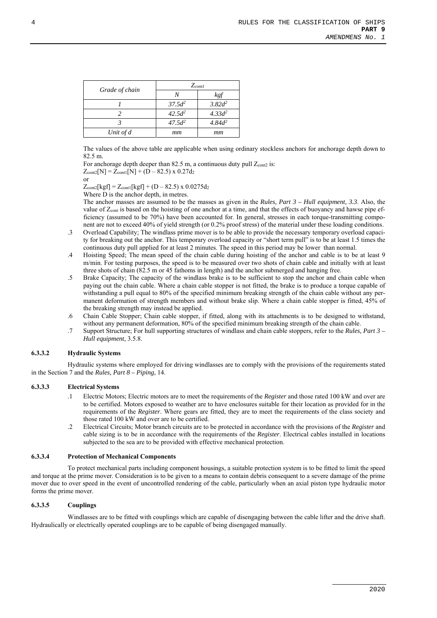|                | $Z_{cont}$ |           |  |
|----------------|------------|-----------|--|
| Grade of chain |            | kgf       |  |
|                | $37.5d^2$  | $3.82d^2$ |  |
|                | $42.5d^2$  | $4.33d^2$ |  |
|                | $47.5d^2$  | $4.84d^2$ |  |
| Unit of d      | mm         | mm        |  |

The values of the above table are applicable when using ordinary stockless anchors for anchorage depth down to 82.5 m.

For anchorage depth deeper than 82.5 m, a continuous duty pull  $Z_{\text{cont2}}$  is:  $Z_{cont2}[N] = Z_{cont1}[N] + (D - 82.5) \times 0.27d_2$ 

or

 $Z_{cont2}[kgf] = Z_{cont1}[kgf] + (D - 82.5) \times 0.0275d_2$ 

Where D is the anchor depth, in metres.

The anchor masses are assumed to be the masses as given in the *Rules, Part 3 – Hull equipment, 3.3*. Also, the value of Zcont is based on the hoisting of one anchor at a time, and that the effects of buoyancy and hawse pipe efficiency (assumed to be 70%) have been accounted for. In general, stresses in each torque-transmitting component are not to exceed 40% of yield strength (or 0.2% proof stress) of the material under these loading conditions.

- .3 Overload Capability; The windlass prime mover is to be able to provide the necessary temporary overload capacity for breaking out the anchor. This temporary overload capacity or "short term pull" is to be at least 1.5 times the continuous duty pull applied for at least 2 minutes. The speed in this period may be lower than normal.
- .4 Hoisting Speed; The mean speed of the chain cable during hoisting of the anchor and cable is to be at least 9 m/min. For testing purposes, the speed is to be measured over two shots of chain cable and initially with at least three shots of chain (82.5 m or 45 fathoms in length) and the anchor submerged and hanging free.
- .5 Brake Capacity; The capacity of the windlass brake is to be sufficient to stop the anchor and chain cable when paying out the chain cable. Where a chain cable stopper is not fitted, the brake is to produce a torque capable of withstanding a pull equal to 80% of the specified minimum breaking strength of the chain cable without any permanent deformation of strength members and without brake slip. Where a chain cable stopper is fitted, 45% of the breaking strength may instead be applied.
- .6 Chain Cable Stopper; Chain cable stopper, if fitted, along with its attachments is to be designed to withstand, without any permanent deformation, 80% of the specified minimum breaking strength of the chain cable.
- .7 Support Structure; For hull supporting structures of windlass and chain cable stoppers, refer to the *Rules, Part 3 – Hull equipment,* 3.5.8.

#### **6.3.3.2 Hydraulic Systems**

Hydraulic systems where employed for driving windlasses are to comply with the provisions of the requirements stated in the Section 7 and the *Rules, Part 8 – Piping*, 14.

#### **6.3.3.3 Electrical Systems**

- .1 Electric Motors; Electric motors are to meet the requirements of the *Register* and those rated 100 kW and over are to be certified. Motors exposed to weather are to have enclosures suitable for their location as provided for in the requirements of the *Register*. Where gears are fitted, they are to meet the requirements of the class society and those rated 100 kW and over are to be certified.
- .2 Electrical Circuits; Motor branch circuits are to be protected in accordance with the provisions of the *Register* and cable sizing is to be in accordance with the requirements of the *Register*. Electrical cables installed in locations subjected to the sea are to be provided with effective mechanical protection.

#### **6.3.3.4 Protection of Mechanical Components**

To protect mechanical parts including component housings, a suitable protection system is to be fitted to limit the speed and torque at the prime mover. Consideration is to be given to a means to contain debris consequent to a severe damage of the prime mover due to over speed in the event of uncontrolled rendering of the cable, particularly when an axial piston type hydraulic motor forms the prime mover.

#### **6.3.3.5 Couplings**

Windlasses are to be fitted with couplings which are capable of disengaging between the cable lifter and the drive shaft. Hydraulically or electrically operated couplings are to be capable of being disengaged manually.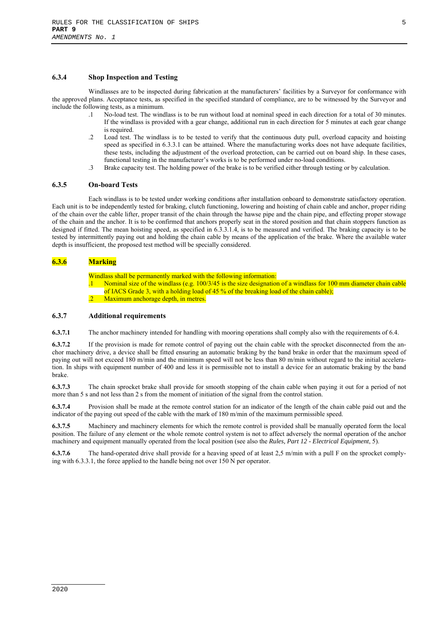#### **6.3.4 Shop Inspection and Testing**

Windlasses are to be inspected during fabrication at the manufacturers' facilities by a Surveyor for conformance with the approved plans. Acceptance tests, as specified in the specified standard of compliance, are to be witnessed by the Surveyor and include the following tests, as a minimum.

- .1 No-load test. The windlass is to be run without load at nominal speed in each direction for a total of 30 minutes. If the windlass is provided with a gear change, additional run in each direction for 5 minutes at each gear change is required.
- .2 Load test. The windlass is to be tested to verify that the continuous duty pull, overload capacity and hoisting speed as specified in 6.3.3.1 can be attained. Where the manufacturing works does not have adequate facilities, these tests, including the adjustment of the overload protection, can be carried out on board ship. In these cases, functional testing in the manufacturer's works is to be performed under no-load conditions.
- .3 Brake capacity test. The holding power of the brake is to be verified either through testing or by calculation.

#### **6.3.5 On-board Tests**

Each windlass is to be tested under working conditions after installation onboard to demonstrate satisfactory operation. Each unit is to be independently tested for braking, clutch functioning, lowering and hoisting of chain cable and anchor, proper riding of the chain over the cable lifter, proper transit of the chain through the hawse pipe and the chain pipe, and effecting proper stowage of the chain and the anchor. It is to be confirmed that anchors properly seat in the stored position and that chain stoppers function as designed if fitted. The mean hoisting speed, as specified in 6.3.3.1.4, is to be measured and verified. The braking capacity is to be tested by intermittently paying out and holding the chain cable by means of the application of the brake. Where the available water depth is insufficient, the proposed test method will be specially considered.

#### **6.3.6 Marking**

Windlass shall be permanently marked with the following information:

- .1 Nominal size of the windlass (e.g. 100/3/45 is the size designation of a windlass for 100 mm diameter chain cable of IACS Grade 3, with a holding load of 45 % of the breaking load of the chain cable);
- Maximum anchorage depth, in metres.

#### **6.3.7 Additional requirements**

**6.3.7.1** The anchor machinery intended for handling with mooring operations shall comply also with the requirements of 6.4.

**6.3.7.2** If the provision is made for remote control of paying out the chain cable with the sprocket disconnected from the anchor machinery drive, a device shall be fitted ensuring an automatic braking by the band brake in order that the maximum speed of paying out will not exceed 180 m/min and the minimum speed will not be less than 80 m/min without regard to the initial acceleration. In ships with equipment number of 400 and less it is permissible not to install a device for an automatic braking by the band brake.

**6.3.7.3** The chain sprocket brake shall provide for smooth stopping of the chain cable when paying it out for a period of not more than 5 s and not less than 2 s from the moment of initiation of the signal from the control station.

**6.3.7.4** Provision shall be made at the remote control station for an indicator of the length of the chain cable paid out and the indicator of the paying out speed of the cable with the mark of 180 m/min of the maximum permissible speed.

**6.3.7.5** Machinery and machinery elements for which the remote control is provided shall be manually operated form the local position. The failure of any element or the whole remote control system is not to affect adversely the normal operation of the anchor machinery and equipment manually operated from the local position (see also the *Rules, Part 12 - Electrical Equipment*, 5).

**6.3.7.6** The hand-operated drive shall provide for a heaving speed of at least 2,5 m/min with a pull F on the sprocket complying with 6.3.3.1, the force applied to the handle being not over 150 N per operator.